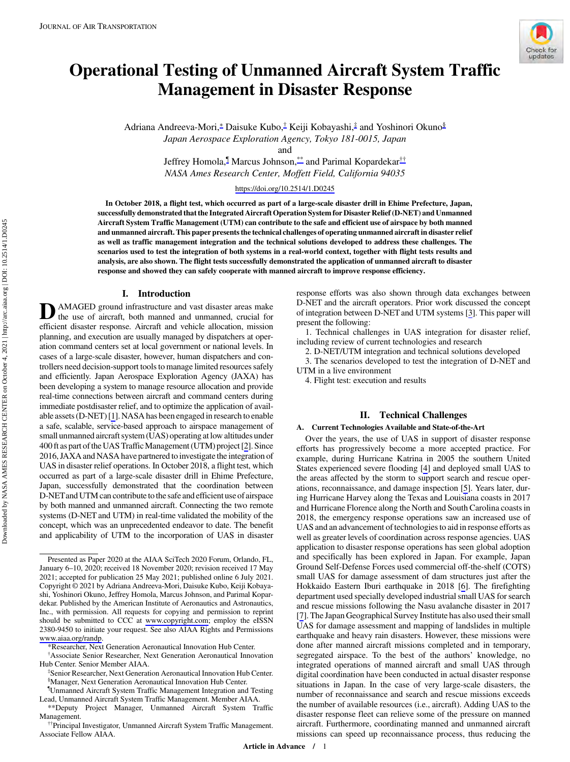# <span id="page-0-0"></span>Operational Testing of Unmanned Aircraft System Traffic Management in Disaster Response

Adriana Andreeva-Mori,<sup>∗</sup> Daisuke Kubo,† Keiji Kobayashi,‡ and Yoshinori Okuno§ Japan Aerospace Exploration Agency, Tokyo 181-0015, Japan

and

Jeffrey Homola,¶ Marcus Johnson,\*\* and Parimal Kopardekar†† NASA Ames Research Center, Moffett Field, California 94035

<https://doi.org/10.2514/1.D0245>

In October 2018, a flight test, which occurred as part of a large-scale disaster drill in Ehime Prefecture, Japan, successfully demonstrated that the Integrated Aircraft Operation System for Disaster Relief (D-NET) and Unmanned Aircraft System Traffic Management (UTM) can contribute to the safe and efficient use of airspace by both manned and unmanned aircraft. This paper presents the technical challenges of operating unmanned aircraft in disaster relief as well as traffic management integration and the technical solutions developed to address these challenges. The scenarios used to test the integration of both systems in a real-world context, together with flight tests results and analysis, are also shown. The flight tests successfully demonstrated the application of unmanned aircraft to disaster response and showed they can safely cooperate with manned aircraft to improve response efficiency.

## I. Introduction

**D** AMAGED ground infrastructure and vast disaster areas make<br>the use of aircraft, both manned and unmanned, crucial for efficient disaster response. Aircraft and vehicle allocation, mission planning, and execution are usually managed by dispatchers at operation command centers set at local government or national levels. In cases of a large-scale disaster, however, human dispatchers and controllers need decision-support tools to manage limited resources safely and efficiently. Japan Aerospace Exploration Agency (JAXA) has been developing a system to manage resource allocation and provide real-time connections between aircraft and command centers during immediate postdisaster relief, and to optimize the application of available assets (D-NET) [\[1](#page-10-0)]. NASA has been engaged in research to enable a safe, scalable, service-based approach to airspace management of small unmanned aircraft system (UAS) operating at low altitudes under 400 ft as part of the UAS Traffic Management (UTM) project [\[2\]](#page-10-0). Since 2016, JAXA and NASA have partnered to investigate the integration of UAS in disaster relief operations. In October 2018, a flight test, which occurred as part of a large-scale disaster drill in Ehime Prefecture, Japan, successfully demonstrated that the coordination between D-NETand UTM can contribute tothe safe and efficient use of airspace by both manned and unmanned aircraft. Connecting the two remote systems (D-NET and UTM) in real-time validated the mobility of the concept, which was an unprecedented endeavor to date. The benefit and applicability of UTM to the incorporation of UAS in disaster

† Associate Senior Researcher, Next Generation Aeronautical Innovation Hub Center. Senior Member AIAA. ‡

response efforts was also shown through data exchanges between D-NET and the aircraft operators. Prior work discussed the concept of integration between D-NET and UTM systems [[3](#page-10-0)]. This paper will present the following:

Check for<br>updates

1. Technical challenges in UAS integration for disaster relief, including review of current technologies and research

2. D-NET/UTM integration and technical solutions developed

3. The scenarios developed to test the integration of D-NET and UTM in a live environment

4. Flight test: execution and results

# II. Technical Challenges

#### A. Current Technologies Available and State-of-the-Art

Over the years, the use of UAS in support of disaster response efforts has progressively become a more accepted practice. For example, during Hurricane Katrina in 2005 the southern United States experienced severe flooding [\[4\]](#page-10-0) and deployed small UAS to the areas affected by the storm to support search and rescue operations, reconnaissance, and damage inspection [[5](#page-10-0)]. Years later, during Hurricane Harvey along the Texas and Louisiana coasts in 2017 and Hurricane Florence along the North and South Carolina coasts in 2018, the emergency response operations saw an increased use of UAS and an advancement of technologies to aid in response efforts as well as greater levels of coordination across response agencies. UAS application to disaster response operations has seen global adoption and specifically has been explored in Japan. For example, Japan Ground Self-Defense Forces used commercial off-the-shelf (COTS) small UAS for damage assessment of dam structures just after the Hokkaido Eastern Iburi earthquake in 2018 [\[6\]](#page-10-0). The firefighting department used specially developed industrial small UAS for search and rescue missions following the Nasu avalanche disaster in 2017 [\[7\]](#page-10-0). The Japan Geographical Survey Institute has also used their small UAS for damage assessment and mapping of landslides in multiple earthquake and heavy rain disasters. However, these missions were done after manned aircraft missions completed and in temporary, segregated airspace. To the best of the authors' knowledge, no integrated operations of manned aircraft and small UAS through digital coordination have been conducted in actual disaster response situations in Japan. In the case of very large-scale disasters, the number of reconnaissance and search and rescue missions exceeds the number of available resources (i.e., aircraft). Adding UAS to the disaster response fleet can relieve some of the pressure on manned aircraft. Furthermore, coordinating manned and unmanned aircraft missions can speed up reconnaissance process, thus reducing the

Downloaded by NASA AMES RESEARCH CENTER on October 4, 2021 | http://arc.aiaa.org | DOI: 10.2514/1.D0245

Downloaded by NASA AMES RESEARCH CENTER on October 4, 2021 | http://arc.aiaa.org | DOI: 10.2514/1.D0245

Presented as Paper 2020 at the AIAA SciTech 2020 Forum, Orlando, FL, January 6–10, 2020; received 18 November 2020; revision received 17 May 2021; accepted for publication 25 May 2021; published online 6 July 2021. Copyright © 2021 by Adriana Andreeva-Mori, Daisuke Kubo, Keiji Kobayashi, Yoshinori Okuno, Jeffrey Homola, Marcus Johnson, and Parimal Kopardekar. Published by the American Institute of Aeronautics and Astronautics, Inc., with permission. All requests for copying and permission to reprint should be submitted to CCC at [www.copyright.com;](www.copyright.com) employ the eISSN 2380-9450 to initiate your request. See also AIAA Rights and Permissions <www.aiaa.org/randp>.

<sup>\*</sup>Researcher, Next Generation Aeronautical Innovation Hub Center.

Senior Researcher, Next Generation Aeronautical Innovation Hub Center. § Manager, Next Generation Aeronautical Innovation Hub Center.

<sup>¶</sup> Unmanned Aircraft System Traffic Management Integration and Testing

Lead, Unmanned Aircraft System Traffic Management. Member AIAA. \*\*Deputy Project Manager, Unmanned Aircraft System Traffic

<sup>&</sup>lt;sup>††</sup>Principal Investigator, Unmanned Aircraft System Traffic Management. Associate Fellow AIAA.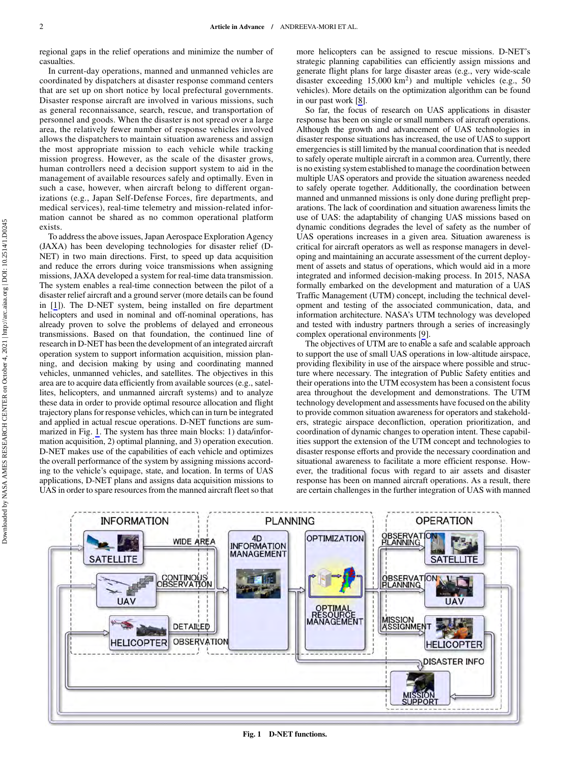regional gaps in the relief operations and minimize the number of casualties.

In current-day operations, manned and unmanned vehicles are coordinated by dispatchers at disaster response command centers that are set up on short notice by local prefectural governments. Disaster response aircraft are involved in various missions, such as general reconnaissance, search, rescue, and transportation of personnel and goods. When the disaster is not spread over a large area, the relatively fewer number of response vehicles involved allows the dispatchers to maintain situation awareness and assign the most appropriate mission to each vehicle while tracking mission progress. However, as the scale of the disaster grows, human controllers need a decision support system to aid in the management of available resources safely and optimally. Even in such a case, however, when aircraft belong to different organizations (e.g., Japan Self-Defense Forces, fire departments, and medical services), real-time telemetry and mission-related information cannot be shared as no common operational platform exists.

To address the above issues, Japan Aerospace Exploration Agency (JAXA) has been developing technologies for disaster relief (D-NET) in two main directions. First, to speed up data acquisition and reduce the errors during voice transmissions when assigning missions, JAXA developed a system for real-time data transmission. The system enables a real-time connection between the pilot of a disaster relief aircraft and a ground server (more details can be found in [[1](#page-10-0)]). The D-NET system, being installed on fire department helicopters and used in nominal and off-nominal operations, has already proven to solve the problems of delayed and erroneous transmissions. Based on that foundation, the continued line of research in D-NET has been the development of an integrated aircraft operation system to support information acquisition, mission planning, and decision making by using and coordinating manned vehicles, unmanned vehicles, and satellites. The objectives in this area are to acquire data efficiently from available sources (e.g., satellites, helicopters, and unmanned aircraft systems) and to analyze these data in order to provide optimal resource allocation and flight trajectory plans for response vehicles, which can in turn be integrated and applied in actual rescue operations. D-NET functions are summarized in Fig. 1. The system has three main blocks: 1) data/information acquisition, 2) optimal planning, and 3) operation execution. D-NET makes use of the capabilities of each vehicle and optimizes the overall performance of the system by assigning missions according to the vehicle's equipage, state, and location. In terms of UAS applications, D-NET plans and assigns data acquisition missions to UAS in order to spare resources from the manned aircraft fleet so that more helicopters can be assigned to rescue missions. D-NET's strategic planning capabilities can efficiently assign missions and generate flight plans for large disaster areas (e.g., very wide-scale disaster exceeding  $15,000 \text{ km}^2$ ) and multiple vehicles (e.g., 50) vehicles). More details on the optimization algorithm can be found in our past work [[8](#page-10-0)].

So far, the focus of research on UAS applications in disaster response has been on single or small numbers of aircraft operations. Although the growth and advancement of UAS technologies in disaster response situations has increased, the use of UAS to support emergencies is still limited by the manual coordination that is needed to safely operate multiple aircraft in a common area. Currently, there is no existing system established to manage the coordination between multiple UAS operators and provide the situation awareness needed to safely operate together. Additionally, the coordination between manned and unmanned missions is only done during preflight preparations. The lack of coordination and situation awareness limits the use of UAS: the adaptability of changing UAS missions based on dynamic conditions degrades the level of safety as the number of UAS operations increases in a given area. Situation awareness is critical for aircraft operators as well as response managers in developing and maintaining an accurate assessment of the current deployment of assets and status of operations, which would aid in a more integrated and informed decision-making process. In 2015, NASA formally embarked on the development and maturation of a UAS Traffic Management (UTM) concept, including the technical development and testing of the associated communication, data, and information architecture. NASA's UTM technology was developed and tested with industry partners through a series of increasingly complex operational environments [[9](#page-10-0)].

The objectives of UTM are to enable a safe and scalable approach to support the use of small UAS operations in low-altitude airspace, providing flexibility in use of the airspace where possible and structure where necessary. The integration of Public Safety entities and their operations into the UTM ecosystem has been a consistent focus area throughout the development and demonstrations. The UTM technology development and assessments have focused on the ability to provide common situation awareness for operators and stakeholders, strategic airspace deconfliction, operation prioritization, and coordination of dynamic changes to operation intent. These capabilities support the extension of the UTM concept and technologies to disaster response efforts and provide the necessary coordination and situational awareness to facilitate a more efficient response. However, the traditional focus with regard to air assets and disaster response has been on manned aircraft operations. As a result, there are certain challenges in the further integration of UAS with manned

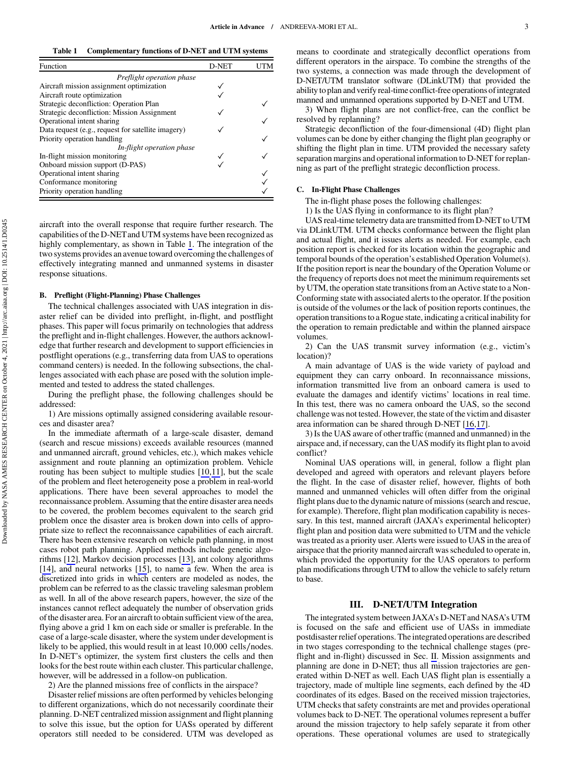Table 1 Complementary functions of D-NET and UTM systems

| Function                                           | D-NET | ΤM |
|----------------------------------------------------|-------|----|
| Preflight operation phase                          |       |    |
| Aircraft mission assignment optimization           |       |    |
| Aircraft route optimization                        |       |    |
| Strategic deconfliction: Operation Plan            |       |    |
| Strategic deconfliction: Mission Assignment        |       |    |
| Operational intent sharing                         |       |    |
| Data request (e.g., request for satellite imagery) |       |    |
| Priority operation handling                        |       |    |
| In-flight operation phase                          |       |    |
| In-flight mission monitoring                       |       |    |
| Onboard mission support (D-PAS)                    |       |    |
| Operational intent sharing                         |       |    |
| Conformance monitoring                             |       |    |
| Priority operation handling                        |       |    |

aircraft into the overall response that require further research. The capabilities of the D-NETand UTM systems have been recognized as highly complementary, as shown in Table 1. The integration of the two systems provides an avenue toward overcoming the challenges of effectively integrating manned and unmanned systems in disaster response situations.

#### B. Preflight (Flight-Planning) Phase Challenges

The technical challenges associated with UAS integration in disaster relief can be divided into preflight, in-flight, and postflight phases. This paper will focus primarily on technologies that address the preflight and in-flight challenges. However, the authors acknowledge that further research and development to support efficiencies in postflight operations (e.g., transferring data from UAS to operations command centers) is needed. In the following subsections, the challenges associated with each phase are posed with the solution implemented and tested to address the stated challenges.

During the preflight phase, the following challenges should be addressed:

1) Are missions optimally assigned considering available resources and disaster area?

In the immediate aftermath of a large-scale disaster, demand (search and rescue missions) exceeds available resources (manned and unmanned aircraft, ground vehicles, etc.), which makes vehicle assignment and route planning an optimization problem. Vehicle routing has been subject to multiple studies [[10,11](#page-10-0)], but the scale of the problem and fleet heterogeneity pose a problem in real-world applications. There have been several approaches to model the reconnaissance problem. Assuming that the entire disaster area needs to be covered, the problem becomes equivalent to the search grid problem once the disaster area is broken down into cells of appropriate size to reflect the reconnaissance capabilities of each aircraft. There has been extensive research on vehicle path planning, in most cases robot path planning. Applied methods include genetic algorithms [\[12](#page-10-0)], Markov decision processes [\[13](#page-10-0)], ant colony algorithms [\[14](#page-10-0)], and neural networks [[15\]](#page-10-0), to name a few. When the area is discretized into grids in which centers are modeled as nodes, the problem can be referred to as the classic traveling salesman problem as well. In all of the above research papers, however, the size of the instances cannot reflect adequately the number of observation grids of the disaster area. For an aircraft to obtain sufficient view of the area, flying above a grid 1 km on each side or smaller is preferable. In the case of a large-scale disaster, where the system under development is likely to be applied, this would result in at least 10;000 cells∕nodes. In D-NET's optimizer, the system first clusters the cells and then looks for the best route within each cluster. This particular challenge, however, will be addressed in a follow-on publication.

2) Are the planned missions free of conflicts in the airspace?

Disaster relief missions are often performed by vehicles belonging to different organizations, which do not necessarily coordinate their planning. D-NET centralized mission assignment and flight planning to solve this issue, but the option for UASs operated by different operators still needed to be considered. UTM was developed as means to coordinate and strategically deconflict operations from different operators in the airspace. To combine the strengths of the two systems, a connection was made through the development of D-NET/UTM translator software (DLinkUTM) that provided the ability to plan and verify real-time conflict-free operations of integrated manned and unmanned operations supported by D-NET and UTM.

3) When flight plans are not conflict-free, can the conflict be resolved by replanning?

Strategic deconfliction of the four-dimensional (4D) flight plan volumes can be done by either changing the flight plan geography or shifting the flight plan in time. UTM provided the necessary safety separation margins and operational information to D-NET for replanning as part of the preflight strategic deconfliction process.

#### C. In-Flight Phase Challenges

The in-flight phase poses the following challenges:

1) Is the UAS flying in conformance to its flight plan?

UAS real-time telemetry data are transmitted from D-NET to UTM via DLinkUTM. UTM checks conformance between the flight plan and actual flight, and it issues alerts as needed. For example, each position report is checked for its location within the geographic and temporal bounds of the operation's established Operation Volume(s). If the position report is near the boundary of the Operation Volume or the frequency of reports does not meet the minimum requirements set by UTM, the operation state transitions from an Active state to a Non-Conforming state with associated alerts to the operator. If the position is outside of the volumes or the lack of position reports continues, the operation transitions to a Rogue state, indicating a critical inability for the operation to remain predictable and within the planned airspace volumes.

2) Can the UAS transmit survey information (e.g., victim's location)?

A main advantage of UAS is the wide variety of payload and equipment they can carry onboard. In reconnaissance missions, information transmitted live from an onboard camera is used to evaluate the damages and identify victims' locations in real time. In this test, there was no camera onboard the UAS, so the second challenge was not tested. However, the state of the victim and disaster area information can be shared through D-NET [[16,17\]](#page-10-0).

3) Is the UAS aware of other traffic (manned and unmanned) in the airspace and, if necessary, can the UAS modify its flight plan to avoid conflict?

Nominal UAS operations will, in general, follow a flight plan developed and agreed with operators and relevant players before the flight. In the case of disaster relief, however, flights of both manned and unmanned vehicles will often differ from the original flight plans due to the dynamic nature of missions (search and rescue, for example). Therefore, flight plan modification capability is necessary. In this test, manned aircraft (JAXA's experimental helicopter) flight plan and position data were submitted to UTM and the vehicle was treated as a priority user. Alerts were issued to UAS in the area of airspace that the priority manned aircraft was scheduled to operate in, which provided the opportunity for the UAS operators to perform plan modifications through UTM to allow the vehicle to safely return to base.

## III. D-NET/UTM Integration

The integrated system between JAXA's D-NETand NASA's UTM is focused on the safe and efficient use of UASs in immediate postdisaster relief operations. The integrated operations are described in two stages corresponding to the technical challenge stages (preflight and in-flight) discussed in Sec. [II](#page-0-0). Mission assignments and planning are done in D-NET; thus all mission trajectories are generated within D-NET as well. Each UAS flight plan is essentially a trajectory, made of multiple line segments, each defined by the 4D coordinates of its edges. Based on the received mission trajectories, UTM checks that safety constraints are met and provides operational volumes back to D-NET. The operational volumes represent a buffer around the mission trajectory to help safely separate it from other operations. These operational volumes are used to strategically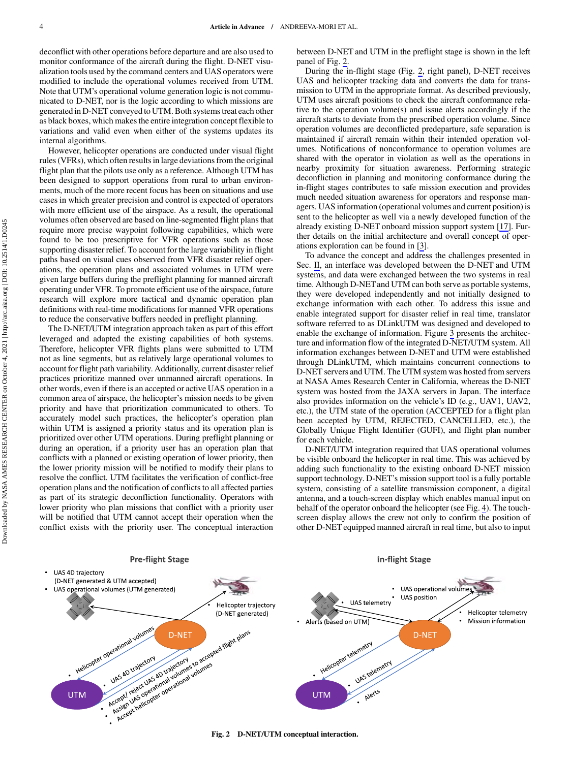deconflict with other operations before departure and are also used to monitor conformance of the aircraft during the flight. D-NET visualization tools used by the command centers and UAS operators were modified to include the operational volumes received from UTM. Note that UTM's operational volume generation logic is not communicated to D-NET, nor is the logic according to which missions are generated in D-NET conveyed to UTM. Both systems treat each other as black boxes, which makes the entire integration concept flexible to variations and valid even when either of the systems updates its internal algorithms.

However, helicopter operations are conducted under visual flight rules (VFRs), which often results in large deviations from the original flight plan that the pilots use only as a reference. Although UTM has been designed to support operations from rural to urban environments, much of the more recent focus has been on situations and use cases in which greater precision and control is expected of operators with more efficient use of the airspace. As a result, the operational volumes often observed are based on line-segmented flight plans that require more precise waypoint following capabilities, which were found to be too prescriptive for VFR operations such as those supporting disaster relief. To account for the large variability in flight paths based on visual cues observed from VFR disaster relief operations, the operation plans and associated volumes in UTM were given large buffers during the preflight planning for manned aircraft operating under VFR. To promote efficient use of the airspace, future research will explore more tactical and dynamic operation plan definitions with real-time modifications for manned VFR operations to reduce the conservative buffers needed in preflight planning.

The D-NET/UTM integration approach taken as part of this effort leveraged and adapted the existing capabilities of both systems. Therefore, helicopter VFR flights plans were submitted to UTM not as line segments, but as relatively large operational volumes to account for flight path variability. Additionally, current disaster relief practices prioritize manned over unmanned aircraft operations. In other words, even if there is an accepted or active UAS operation in a common area of airspace, the helicopter's mission needs to be given priority and have that prioritization communicated to others. To accurately model such practices, the helicopter's operation plan within UTM is assigned a priority status and its operation plan is prioritized over other UTM operations. During preflight planning or during an operation, if a priority user has an operation plan that conflicts with a planned or existing operation of lower priority, then the lower priority mission will be notified to modify their plans to resolve the conflict. UTM facilitates the verification of conflict-free operation plans and the notification of conflicts to all affected parties as part of its strategic deconfliction functionality. Operators with lower priority who plan missions that conflict with a priority user will be notified that UTM cannot accept their operation when the conflict exists with the priority user. The conceptual interaction between D-NET and UTM in the preflight stage is shown in the left panel of Fig. 2.

During the in-flight stage (Fig. 2, right panel), D-NET receives UAS and helicopter tracking data and converts the data for transmission to UTM in the appropriate format. As described previously, UTM uses aircraft positions to check the aircraft conformance relative to the operation volume(s) and issue alerts accordingly if the aircraft starts to deviate from the prescribed operation volume. Since operation volumes are deconflicted predeparture, safe separation is maintained if aircraft remain within their intended operation volumes. Notifications of nonconformance to operation volumes are shared with the operator in violation as well as the operations in nearby proximity for situation awareness. Performing strategic deconfliction in planning and monitoring conformance during the in-flight stages contributes to safe mission execution and provides much needed situation awareness for operators and response managers. UAS information (operational volumes and current position) is sent to the helicopter as well via a newly developed function of the already existing D-NET onboard mission support system [[17\]](#page-10-0). Further details on the initial architecture and overall concept of operations exploration can be found in [[3](#page-10-0)].

To advance the concept and address the challenges presented in Sec. [II](#page-0-0), an interface was developed between the D-NET and UTM systems, and data were exchanged between the two systems in real time. Although D-NET and UTM can both serve as portable systems, they were developed independently and not initially designed to exchange information with each other. To address this issue and enable integrated support for disaster relief in real time, translator software referred to as DLinkUTM was designed and developed to enable the exchange of information. Figure [3](#page-4-0) presents the architecture and information flow of the integrated D-NET/UTM system. All information exchanges between D-NET and UTM were established through DLinkUTM, which maintains concurrent connections to D-NET servers and UTM. The UTM system was hosted from servers at NASA Ames Research Center in California, whereas the D-NET system was hosted from the JAXA servers in Japan. The interface also provides information on the vehicle's ID (e.g., UAV1, UAV2, etc.), the UTM state of the operation (ACCEPTED for a flight plan been accepted by UTM, REJECTED, CANCELLED, etc.), the Globally Unique Flight Identifier (GUFI), and flight plan number for each vehicle.

D-NET/UTM integration required that UAS operational volumes be visible onboard the helicopter in real time. This was achieved by adding such functionality to the existing onboard D-NET mission support technology. D-NET's mission support tool is a fully portable system, consisting of a satellite transmission component, a digital antenna, and a touch-screen display which enables manual input on behalf of the operator onboard the helicopter (see Fig. [4](#page-4-0)). The touchscreen display allows the crew not only to confirm the position of other D-NET equipped manned aircraft in real time, but also to input

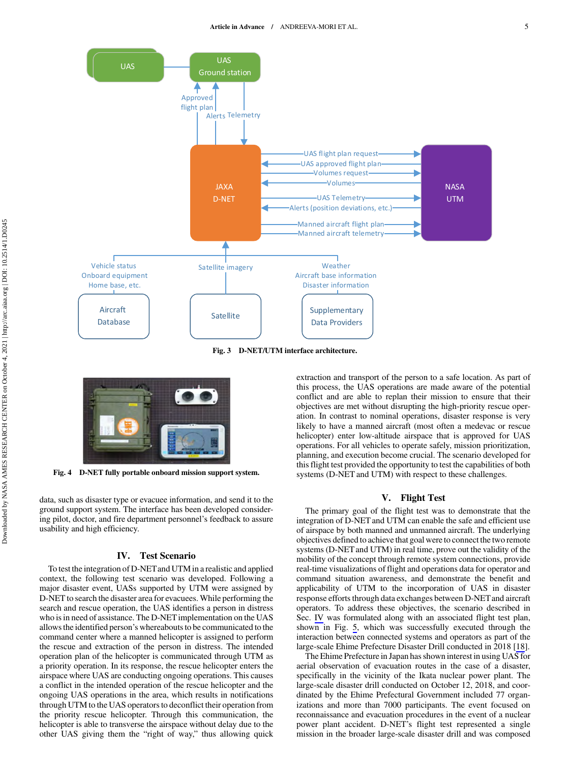<span id="page-4-0"></span>

Fig. 3 D-NET/UTM interface architecture.



Fig. 4 D-NET fully portable onboard mission support system.

data, such as disaster type or evacuee information, and send it to the ground support system. The interface has been developed considering pilot, doctor, and fire department personnel's feedback to assure usability and high efficiency.

## IV. Test Scenario

To test the integration of D-NETand UTM in a realistic and applied context, the following test scenario was developed. Following a major disaster event, UASs supported by UTM were assigned by D-NET to search the disaster area for evacuees. While performing the search and rescue operation, the UAS identifies a person in distress who is in need of assistance. The D-NET implementation on the UAS allows the identified person's whereabouts to be communicated to the command center where a manned helicopter is assigned to perform the rescue and extraction of the person in distress. The intended operation plan of the helicopter is communicated through UTM as a priority operation. In its response, the rescue helicopter enters the airspace where UAS are conducting ongoing operations. This causes a conflict in the intended operation of the rescue helicopter and the ongoing UAS operations in the area, which results in notifications through UTM to the UAS operators to deconflict their operation from the priority rescue helicopter. Through this communication, the helicopter is able to transverse the airspace without delay due to the other UAS giving them the "right of way," thus allowing quick extraction and transport of the person to a safe location. As part of this process, the UAS operations are made aware of the potential conflict and are able to replan their mission to ensure that their objectives are met without disrupting the high-priority rescue operation. In contrast to nominal operations, disaster response is very likely to have a manned aircraft (most often a medevac or rescue helicopter) enter low-altitude airspace that is approved for UAS operations. For all vehicles to operate safely, mission prioritization, planning, and execution become crucial. The scenario developed for this flight test provided the opportunity to test the capabilities of both systems (D-NET and UTM) with respect to these challenges.

## V. Flight Test

The primary goal of the flight test was to demonstrate that the integration of D-NET and UTM can enable the safe and efficient use of airspace by both manned and unmanned aircraft. The underlying objectives defined to achieve that goal were to connect the two remote systems (D-NET and UTM) in real time, prove out the validity of the mobility of the concept through remote system connections, provide real-time visualizations of flight and operations data for operator and command situation awareness, and demonstrate the benefit and applicability of UTM to the incorporation of UAS in disaster response efforts through data exchanges between D-NETand aircraft operators. To address these objectives, the scenario described in Sec. IV was formulated along with an associated flight test plan, shown in Fig. [5,](#page-5-0) which was successfully executed through the interaction between connected systems and operators as part of the large-scale Ehime Prefecture Disaster Drill conducted in 2018 [[18\]](#page-10-0).

The Ehime Prefecture in Japan has shown interest in using UAS for aerial observation of evacuation routes in the case of a disaster, specifically in the vicinity of the Ikata nuclear power plant. The large-scale disaster drill conducted on October 12, 2018, and coordinated by the Ehime Prefectural Government included 77 organizations and more than 7000 participants. The event focused on reconnaissance and evacuation procedures in the event of a nuclear power plant accident. D-NET's flight test represented a single mission in the broader large-scale disaster drill and was composed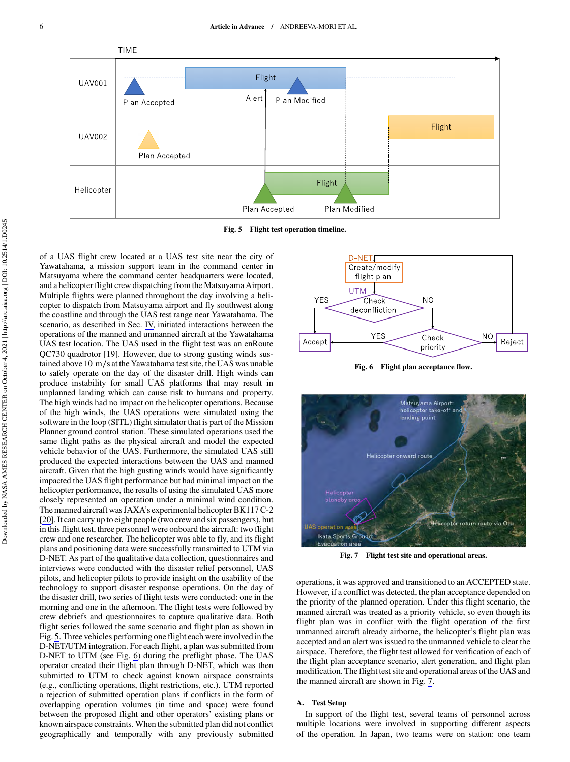<span id="page-5-0"></span>



of a UAS flight crew located at a UAS test site near the city of Yawatahama, a mission support team in the command center in Matsuyama where the command center headquarters were located, and a helicopter flight crew dispatching from the Matsuyama Airport. Multiple flights were planned throughout the day involving a helicopter to dispatch from Matsuyama airport and fly southwest along the coastline and through the UAS test range near Yawatahama. The scenario, as described in Sec. [IV,](#page-4-0) initiated interactions between the operations of the manned and unmanned aircraft at the Yawatahama UAS test location. The UAS used in the flight test was an enRoute QC730 quadrotor [\[19](#page-10-0)]. However, due to strong gusting winds sustained above 10 m∕s at the Yawatahama test site, the UAS was unable to safely operate on the day of the disaster drill. High winds can produce instability for small UAS platforms that may result in unplanned landing which can cause risk to humans and property. The high winds had no impact on the helicopter operations. Because of the high winds, the UAS operations were simulated using the software in the loop (SITL) flight simulator that is part of the Mission Planner ground control station. These simulated operations used the same flight paths as the physical aircraft and model the expected vehicle behavior of the UAS. Furthermore, the simulated UAS still produced the expected interactions between the UAS and manned aircraft. Given that the high gusting winds would have significantly impacted the UAS flight performance but had minimal impact on the helicopter performance, the results of using the simulated UAS more closely represented an operation under a minimal wind condition. The manned aircraft was JAXA's experimental helicopter BK117 C-2 [\[20](#page-10-0)]. It can carry up to eight people (two crew and six passengers), but in this flight test, three personnel were onboard the aircraft: two flight crew and one researcher. The helicopter was able to fly, and its flight plans and positioning data were successfully transmitted to UTM via D-NET. As part of the qualitative data collection, questionnaires and interviews were conducted with the disaster relief personnel, UAS pilots, and helicopter pilots to provide insight on the usability of the technology to support disaster response operations. On the day of the disaster drill, two series of flight tests were conducted: one in the morning and one in the afternoon. The flight tests were followed by crew debriefs and questionnaires to capture qualitative data. Both flight series followed the same scenario and flight plan as shown in Fig. 5. Three vehicles performing one flight each were involved in the D-NET/UTM integration. For each flight, a plan was submitted from D-NET to UTM (see Fig. 6) during the preflight phase. The UAS operator created their flight plan through D-NET, which was then submitted to UTM to check against known airspace constraints (e.g., conflicting operations, flight restrictions, etc.). UTM reported a rejection of submitted operation plans if conflicts in the form of overlapping operation volumes (in time and space) were found between the proposed flight and other operators' existing plans or known airspace constraints. When the submitted plan did not conflict geographically and temporally with any previously submitted



Fig. 6 Flight plan acceptance flow.



Fig. 7 Flight test site and operational areas.

operations, it was approved and transitioned to an ACCEPTED state. However, if a conflict was detected, the plan acceptance depended on the priority of the planned operation. Under this flight scenario, the manned aircraft was treated as a priority vehicle, so even though its flight plan was in conflict with the flight operation of the first unmanned aircraft already airborne, the helicopter's flight plan was accepted and an alert was issued to the unmanned vehicle to clear the airspace. Therefore, the flight test allowed for verification of each of the flight plan acceptance scenario, alert generation, and flight plan modification. The flight test site and operational areas of the UAS and the manned aircraft are shown in Fig. 7.

## A. Test Setup

In support of the flight test, several teams of personnel across multiple locations were involved in supporting different aspects of the operation. In Japan, two teams were on station: one team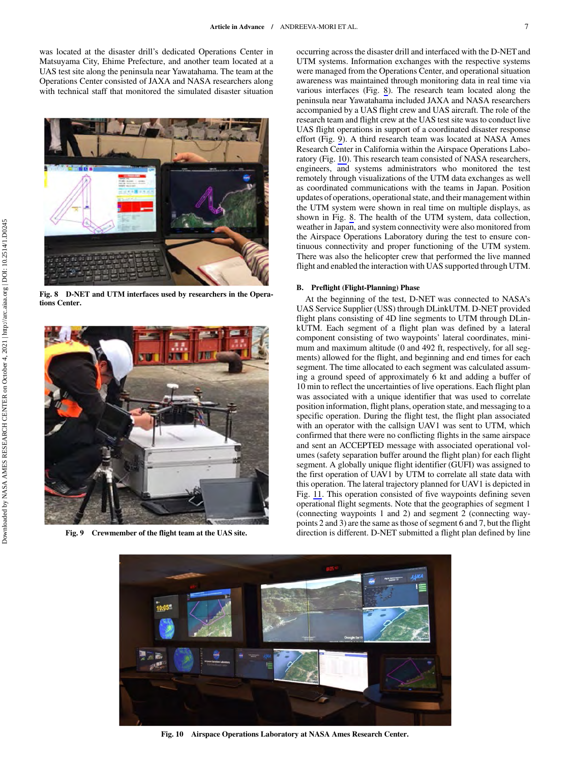was located at the disaster drill's dedicated Operations Center in Matsuyama City, Ehime Prefecture, and another team located at a UAS test site along the peninsula near Yawatahama. The team at the Operations Center consisted of JAXA and NASA researchers along with technical staff that monitored the simulated disaster situation



Fig. 8 D-NET and UTM interfaces used by researchers in the Operations Center.



Fig. 9 Crewmember of the flight team at the UAS site.

occurring across the disaster drill and interfaced with the D-NET and UTM systems. Information exchanges with the respective systems were managed from the Operations Center, and operational situation awareness was maintained through monitoring data in real time via various interfaces (Fig. 8). The research team located along the peninsula near Yawatahama included JAXA and NASA researchers accompanied by a UAS flight crew and UAS aircraft. The role of the research team and flight crew at the UAS test site was to conduct live UAS flight operations in support of a coordinated disaster response effort (Fig. 9). A third research team was located at NASA Ames Research Center in California within the Airspace Operations Laboratory (Fig. 10). This research team consisted of NASA researchers, engineers, and systems administrators who monitored the test remotely through visualizations of the UTM data exchanges as well as coordinated communications with the teams in Japan. Position updates of operations, operational state, and their management within the UTM system were shown in real time on multiple displays, as shown in Fig. 8. The health of the UTM system, data collection, weather in Japan, and system connectivity were also monitored from the Airspace Operations Laboratory during the test to ensure continuous connectivity and proper functioning of the UTM system. There was also the helicopter crew that performed the live manned flight and enabled the interaction with UAS supported through UTM.

#### B. Preflight (Flight-Planning) Phase

At the beginning of the test, D-NET was connected to NASA's UAS Service Supplier (USS) through DLinkUTM. D-NET provided flight plans consisting of 4D line segments to UTM through DLinkUTM. Each segment of a flight plan was defined by a lateral component consisting of two waypoints' lateral coordinates, minimum and maximum altitude (0 and 492 ft, respectively, for all segments) allowed for the flight, and beginning and end times for each segment. The time allocated to each segment was calculated assuming a ground speed of approximately 6 kt and adding a buffer of 10 min to reflect the uncertainties of live operations. Each flight plan was associated with a unique identifier that was used to correlate position information, flight plans, operation state, and messaging to a specific operation. During the flight test, the flight plan associated with an operator with the callsign UAV1 was sent to UTM, which confirmed that there were no conflicting flights in the same airspace and sent an ACCEPTED message with associated operational volumes (safety separation buffer around the flight plan) for each flight segment. A globally unique flight identifier (GUFI) was assigned to the first operation of UAV1 by UTM to correlate all state data with this operation. The lateral trajectory planned for UAV1 is depicted in Fig. [11](#page-7-0). This operation consisted of five waypoints defining seven operational flight segments. Note that the geographies of segment 1 (connecting waypoints 1 and 2) and segment 2 (connecting waypoints 2 and 3) are the same as those of segment 6 and 7, but the flight direction is different. D-NET submitted a flight plan defined by line



Fig. 10 Airspace Operations Laboratory at NASA Ames Research Center.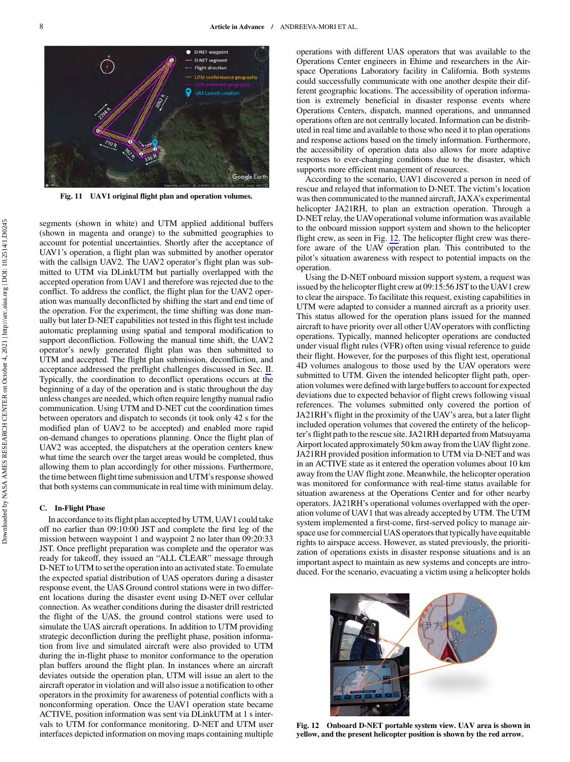<span id="page-7-0"></span>

Fig. 11 UAV1 original flight plan and operation volumes.

segments (shown in white) and UTM applied additional buffers (shown in magenta and orange) to the submitted geographies to account for potential uncertainties. Shortly after the acceptance of UAV1's operation, a flight plan was submitted by another operator with the callsign UAV2. The UAV2 operator's flight plan was submitted to UTM via DLinkUTM but partially overlapped with the accepted operation from UAV1 and therefore was rejected due to the conflict. To address the conflict, the flight plan for the UAV2 operation was manually deconflicted by shifting the start and end time of the operation. For the experiment, the time shifting was done manually but later D-NET capabilities not tested in this flight test include automatic preplanning using spatial and temporal modification to support deconfliction. Following the manual time shift, the UAV2 operator's newly generated flight plan was then submitted to UTM and accepted. The flight plan submission, deconfliction, and acceptance addressed the preflight challenges discussed in Sec. [II](#page-0-0). Typically, the coordination to deconflict operations occurs at the beginning of a day of the operation and is static throughout the day unless changes are needed, which often require lengthy manual radio communication. Using UTM and D-NET cut the coordination times between operators and dispatch to seconds (it took only 42 s for the modified plan of UAV2 to be accepted) and enabled more rapid on-demand changes to operations planning. Once the flight plan of UAV2 was accepted, the dispatchers at the operation centers knew what time the search over the target areas would be completed, thus allowing them to plan accordingly for other missions. Furthermore, the time between flight time submission and UTM's response showed that both systems can communicate in real time with minimum delay.

#### C. In-Flight Phase

In accordance to its flight plan accepted by UTM, UAV1 could take off no earlier than 09:10:00 JST and complete the first leg of the mission between waypoint 1 and waypoint 2 no later than 09:20:33 JST. Once preflight preparation was complete and the operator was ready for takeoff, they issued an "ALL CLEAR" message through D-NET to UTM to set the operation into an activated state. To emulate the expected spatial distribution of UAS operators during a disaster response event, the UAS Ground control stations were in two different locations during the disaster event using D-NET over cellular connection. As weather conditions during the disaster drill restricted the flight of the UAS, the ground control stations were used to simulate the UAS aircraft operations. In addition to UTM providing strategic deconfliction during the preflight phase, position information from live and simulated aircraft were also provided to UTM during the in-flight phase to monitor conformance to the operation plan buffers around the flight plan. In instances where an aircraft deviates outside the operation plan, UTM will issue an alert to the aircraft operator in violation and will also issue a notification to other operators in the proximity for awareness of potential conflicts with a nonconforming operation. Once the UAV1 operation state became ACTIVE, position information was sent via DLinkUTM at 1 s intervals to UTM for conformance monitoring. D-NET and UTM user interfaces depicted information on moving maps containing multiple operations with different UAS operators that was available to the Operations Center engineers in Ehime and researchers in the Airspace Operations Laboratory facility in California. Both systems could successfully communicate with one another despite their different geographic locations. The accessibility of operation information is extremely beneficial in disaster response events where Operations Centers, dispatch, manned operations, and unmanned operations often are not centrally located. Information can be distributed in real time and available to those who need it to plan operations and response actions based on the timely information. Furthermore, the accessibility of operation data also allows for more adaptive responses to ever-changing conditions due to the disaster, which supports more efficient management of resources.

According to the scenario, UAV1 discovered a person in need of rescue and relayed that information to D-NET. The victim's location was then communicated to the manned aircraft, JAXA's experimental helicopter JA21RH, to plan an extraction operation. Through a D-NET relay, the UAVoperational volume information was available to the onboard mission support system and shown to the helicopter flight crew, as seen in Fig. 12. The helicopter flight crew was therefore aware of the UAV operation plan. This contributed to the pilot's situation awareness with respect to potential impacts on the operation.

Using the D-NET onboard mission support system, a request was issued by the helicopter flight crew at 09:15:56 JST to the UAV1 crew to clear the airspace. To facilitate this request, existing capabilities in UTM were adapted to consider a manned aircraft as a priority user. This status allowed for the operation plans issued for the manned aircraft to have priority over all other UAVoperators with conflicting operations. Typically, manned helicopter operations are conducted under visual flight rules (VFR) often using visual reference to guide their flight. However, for the purposes of this flight test, operational 4D volumes analogous to those used by the UAV operators were submitted to UTM. Given the intended helicopter flight path, operation volumes were defined with large buffers to account for expected deviations due to expected behavior of flight crews following visual references. The volumes submitted only covered the portion of JA21RH's flight in the proximity of the UAV's area, but a later flight included operation volumes that covered the entirety of the helicopter's flight path to the rescue site. JA21RH departed from Matsuyama Airport located approximately 50 km away from the UAV flight zone. JA21RH provided position information to UTM via D-NET and was in an ACTIVE state as it entered the operation volumes about 10 km away from the UAV flight zone. Meanwhile, the helicopter operation was monitored for conformance with real-time status available for situation awareness at the Operations Center and for other nearby operators. JA21RH's operational volumes overlapped with the operation volume of UAV1 that was already accepted by UTM. The UTM system implemented a first-come, first-served policy to manage airspace use for commercial UAS operators that typically have equitable rights to airspace access. However, as stated previously, the prioritization of operations exists in disaster response situations and is an important aspect to maintain as new systems and concepts are introduced. For the scenario, evacuating a victim using a helicopter holds



Fig. 12 Onboard D-NET portable system view. UAV area is shown in yellow, and the present helicopter position is shown by the red arrow.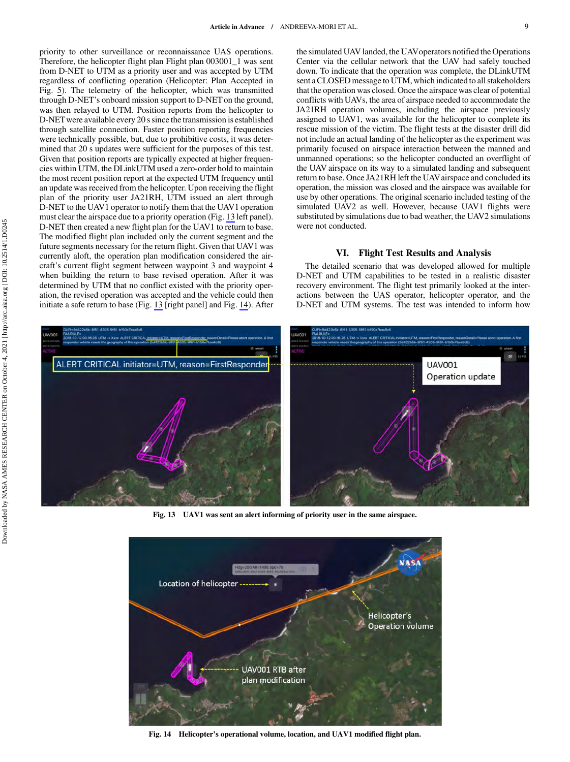priority to other surveillance or reconnaissance UAS operations. Therefore, the helicopter flight plan Flight plan 003001\_1 was sent from D-NET to UTM as a priority user and was accepted by UTM regardless of conflicting operation (Helicopter: Plan Accepted in Fig. [5](#page-5-0)). The telemetry of the helicopter, which was transmitted through D-NET's onboard mission support to D-NET on the ground, was then relayed to UTM. Position reports from the helicopter to D-NETwere available every 20 s since the transmission is established through satellite connection. Faster position reporting frequencies were technically possible, but, due to prohibitive costs, it was determined that 20 s updates were sufficient for the purposes of this test. Given that position reports are typically expected at higher frequencies within UTM, the DLinkUTM used a zero-order hold to maintain the most recent position report at the expected UTM frequency until an update was received from the helicopter. Upon receiving the flight plan of the priority user JA21RH, UTM issued an alert through D-NET to the UAV1 operator to notify them that the UAV1 operation must clear the airspace due to a priority operation (Fig. 13 left panel). D-NET then created a new flight plan for the UAV1 to return to base. The modified flight plan included only the current segment and the future segments necessary for the return flight. Given that UAV1 was currently aloft, the operation plan modification considered the aircraft's current flight segment between waypoint 3 and waypoint 4 when building the return to base revised operation. After it was determined by UTM that no conflict existed with the priority operation, the revised operation was accepted and the vehicle could then initiate a safe return to base (Fig. 13 [right panel] and Fig. 14). After the simulated UAV landed, the UAVoperators notified the Operations Center via the cellular network that the UAV had safely touched down. To indicate that the operation was complete, the DLinkUTM sent a CLOSED message to UTM, which indicated to all stakeholders that the operation was closed. Once the airspace was clear of potential conflicts with UAVs, the area of airspace needed to accommodate the JA21RH operation volumes, including the airspace previously assigned to UAV1, was available for the helicopter to complete its rescue mission of the victim. The flight tests at the disaster drill did not include an actual landing of the helicopter as the experiment was primarily focused on airspace interaction between the manned and unmanned operations; so the helicopter conducted an overflight of the UAV airspace on its way to a simulated landing and subsequent return to base. Once JA21RH left the UAVairspace and concluded its operation, the mission was closed and the airspace was available for use by other operations. The original scenario included testing of the simulated UAV2 as well. However, because UAV1 flights were substituted by simulations due to bad weather, the UAV2 simulations were not conducted.

## VI. Flight Test Results and Analysis

The detailed scenario that was developed allowed for multiple D-NET and UTM capabilities to be tested in a realistic disaster recovery environment. The flight test primarily looked at the interactions between the UAS operator, helicopter operator, and the D-NET and UTM systems. The test was intended to inform how



Fig. 13 UAV1 was sent an alert informing of priority user in the same airspace.



Fig. 14 Helicopter's operational volume, location, and UAV1 modified flight plan.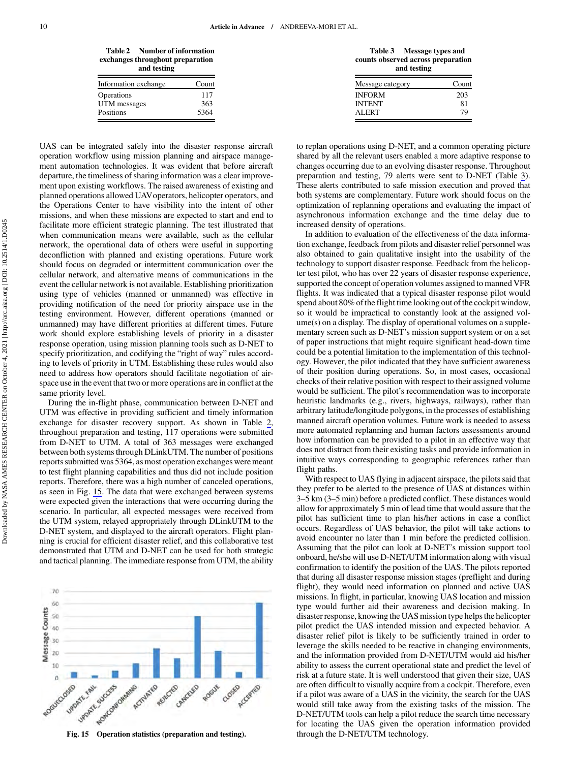Table 2 Number of information exchanges throughout preparation and testing

| Information exchange | Count |
|----------------------|-------|
| Operations           | 117   |
| UTM messages         | 363   |
| Positions            | 5364  |
|                      |       |

UAS can be integrated safely into the disaster response aircraft operation workflow using mission planning and airspace management automation technologies. It was evident that before aircraft departure, the timeliness of sharing information was a clear improvement upon existing workflows. The raised awareness of existing and planned operations allowed UAVoperators, helicopter operators, and the Operations Center to have visibility into the intent of other missions, and when these missions are expected to start and end to facilitate more efficient strategic planning. The test illustrated that when communication means were available, such as the cellular network, the operational data of others were useful in supporting deconfliction with planned and existing operations. Future work should focus on degraded or intermittent communication over the cellular network, and alternative means of communications in the event the cellular network is not available. Establishing prioritization using type of vehicles (manned or unmanned) was effective in providing notification of the need for priority airspace use in the testing environment. However, different operations (manned or unmanned) may have different priorities at different times. Future work should explore establishing levels of priority in a disaster response operation, using mission planning tools such as D-NET to specify prioritization, and codifying the "right of way" rules according to levels of priority in UTM. Establishing these rules would also need to address how operators should facilitate negotiation of airspace use in the event that two or more operations are in conflict at the same priority level.

During the in-flight phase, communication between D-NET and UTM was effective in providing sufficient and timely information exchange for disaster recovery support. As shown in Table 2, throughout preparation and testing, 117 operations were submitted from D-NET to UTM. A total of 363 messages were exchanged between both systems through DLinkUTM. The number of positions reports submitted was 5364, as most operation exchanges were meant to test flight planning capabilities and thus did not include position reports. Therefore, there was a high number of canceled operations, as seen in Fig. 15. The data that were exchanged between systems were expected given the interactions that were occurring during the scenario. In particular, all expected messages were received from the UTM system, relayed appropriately through DLinkUTM to the D-NET system, and displayed to the aircraft operators. Flight planning is crucial for efficient disaster relief, and this collaborative test demonstrated that UTM and D-NET can be used for both strategic and tactical planning. The immediate response from UTM, the ability

 $70$ 60 Message Counts  $50$ 40 30 20 10  $\overline{a}$ UPORTE SUCCESS Noncomonwine UPDATE FALL Acmyleted Roguecosco REVECTED CANVELLO CLOSED Accepted ROGUE

Fig. 15 Operation statistics (preparation and testing).

Table 3 Message types and counts observed across preparation and testing

| Message category | Count |
|------------------|-------|
| <b>INFORM</b>    | 203   |
| <b>INTENT</b>    | 81    |
| ALERT            | 79    |

to replan operations using D-NET, and a common operating picture shared by all the relevant users enabled a more adaptive response to changes occurring due to an evolving disaster response. Throughout preparation and testing, 79 alerts were sent to D-NET (Table 3). These alerts contributed to safe mission execution and proved that both systems are complementary. Future work should focus on the optimization of replanning operations and evaluating the impact of asynchronous information exchange and the time delay due to increased density of operations.

In addition to evaluation of the effectiveness of the data information exchange, feedback from pilots and disaster relief personnel was also obtained to gain qualitative insight into the usability of the technology to support disaster response. Feedback from the helicopter test pilot, who has over 22 years of disaster response experience, supported the concept of operation volumes assigned to manned VFR flights. It was indicated that a typical disaster response pilot would spend about 80% of the flight time looking out of the cockpit window, so it would be impractical to constantly look at the assigned volume(s) on a display. The display of operational volumes on a supplementary screen such as D-NET's mission support system or on a set of paper instructions that might require significant head-down time could be a potential limitation to the implementation of this technology. However, the pilot indicated that they have sufficient awareness of their position during operations. So, in most cases, occasional checks of their relative position with respect to their assigned volume would be sufficient. The pilot's recommendation was to incorporate heuristic landmarks (e.g., rivers, highways, railways), rather than arbitrary latitude/longitude polygons, in the processes of establishing manned aircraft operation volumes. Future work is needed to assess more automated replanning and human factors assessments around how information can be provided to a pilot in an effective way that does not distract from their existing tasks and provide information in intuitive ways corresponding to geographic references rather than flight paths.

With respect to UAS flying in adjacent airspace, the pilots said that they prefer to be alerted to the presence of UAS at distances within 3–5 km (3–5 min) before a predicted conflict. These distances would allow for approximately 5 min of lead time that would assure that the pilot has sufficient time to plan his/her actions in case a conflict occurs. Regardless of UAS behavior, the pilot will take actions to avoid encounter no later than 1 min before the predicted collision. Assuming that the pilot can look at D-NET's mission support tool onboard, he/she will use D-NET/UTM information along with visual confirmation to identify the position of the UAS. The pilots reported that during all disaster response mission stages (preflight and during flight), they would need information on planned and active UAS missions. In flight, in particular, knowing UAS location and mission type would further aid their awareness and decision making. In disaster response, knowing the UAS mission type helps the helicopter pilot predict the UAS intended mission and expected behavior. A disaster relief pilot is likely to be sufficiently trained in order to leverage the skills needed to be reactive in changing environments, and the information provided from D-NET/UTM would aid his/her ability to assess the current operational state and predict the level of risk at a future state. It is well understood that given their size, UAS are often difficult to visually acquire from a cockpit. Therefore, even if a pilot was aware of a UAS in the vicinity, the search for the UAS would still take away from the existing tasks of the mission. The D-NET/UTM tools can help a pilot reduce the search time necessary for locating the UAS given the operation information provided through the D-NET/UTM technology.